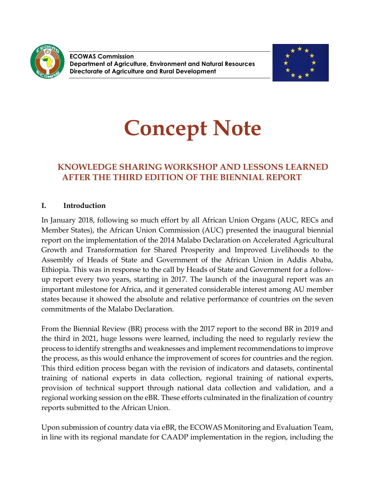

**ECOWAS Commission Department of Agriculture, Environment and Natural Resources Directorate of Agriculture and Rural Development**



# **Concept Note**

# **KNOWLEDGE SHARING WORKSHOP AND LESSONS LEARNED AFTER THE THIRD EDITION OF THE BIENNIAL REPORT**

## **I. Introduction**

In January 2018, following so much effort by all African Union Organs (AUC, RECs and Member States), the African Union Commission (AUC) presented the inaugural biennial report on the implementation of the 2014 Malabo Declaration on Accelerated Agricultural Growth and Transformation for Shared Prosperity and Improved Livelihoods to the Assembly of Heads of State and Government of the African Union in Addis Ababa, Ethiopia. This was in response to the call by Heads of State and Government for a followup report every two years, starting in 2017. The launch of the inaugural report was an important milestone for Africa, and it generated considerable interest among AU member states because it showed the absolute and relative performance of countries on the seven commitments of the Malabo Declaration.

From the Biennial Review (BR) process with the 2017 report to the second BR in 2019 and the third in 2021, huge lessons were learned, including the need to regularly review the process to identify strengths and weaknesses and implement recommendations to improve the process, as this would enhance the improvement of scores for countries and the region. This third edition process began with the revision of indicators and datasets, continental training of national experts in data collection, regional training of national experts, provision of technical support through national data collection and validation, and a regional working session on the eBR. These efforts culminated in the finalization of country reports submitted to the African Union.

Upon submission of country data via eBR, the ECOWAS Monitoring and Evaluation Team, in line with its regional mandate for CAADP implementation in the region, including the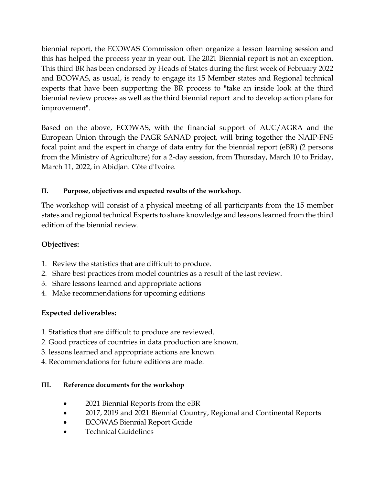biennial report, the ECOWAS Commission often organize a lesson learning session and this has helped the process year in year out. The 2021 Biennial report is not an exception. This third BR has been endorsed by Heads of States during the first week of February 2022 and ECOWAS, as usual, is ready to engage its 15 Member states and Regional technical experts that have been supporting the BR process to "take an inside look at the third biennial review process as well as the third biennial report and to develop action plans for improvement".

Based on the above, ECOWAS, with the financial support of AUC/AGRA and the European Union through the PAGR SANAD project, will bring together the NAIP-FNS focal point and the expert in charge of data entry for the biennial report (eBR) (2 persons from the Ministry of Agriculture) for a 2-day session, from Thursday, March 10 to Friday, March 11, 2022, in Abidjan. Côte d'Ivoire.

## **II. Purpose, objectives and expected results of the workshop.**

The workshop will consist of a physical meeting of all participants from the 15 member states and regional technical Experts to share knowledge and lessons learned from the third edition of the biennial review.

## **Objectives:**

- 1. Review the statistics that are difficult to produce.
- 2. Share best practices from model countries as a result of the last review.
- 3. Share lessons learned and appropriate actions
- 4. Make recommendations for upcoming editions

# **Expected deliverables:**

- 1. Statistics that are difficult to produce are reviewed.
- 2. Good practices of countries in data production are known.
- 3. lessons learned and appropriate actions are known.
- 4. Recommendations for future editions are made.

## **III. Reference documents for the workshop**

- 2021 Biennial Reports from the eBR
- 2017, 2019 and 2021 Biennial Country, Regional and Continental Reports
- ECOWAS Biennial Report Guide
- Technical Guidelines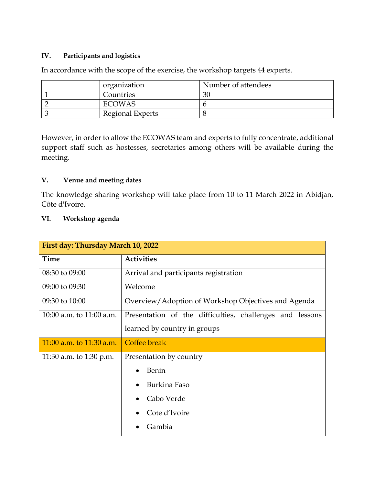#### **IV. Participants and logistics**

| organization     | Number of attendees |
|------------------|---------------------|
| Countries        | 30                  |
| ECOWAS           |                     |
| Regional Experts |                     |

In accordance with the scope of the exercise, the workshop targets 44 experts.

However, in order to allow the ECOWAS team and experts to fully concentrate, additional support staff such as hostesses, secretaries among others will be available during the meeting.

#### **V. Venue and meeting dates**

The knowledge sharing workshop will take place from 10 to 11 March 2022 in Abidjan, Côte d'Ivoire.

#### **VI. Workshop agenda**

| First day: Thursday March 10, 2022 |                                                          |  |
|------------------------------------|----------------------------------------------------------|--|
| Time                               | <b>Activities</b>                                        |  |
| 08:30 to 09:00                     | Arrival and participants registration                    |  |
| 09:00 to 09:30                     | Welcome                                                  |  |
| 09:30 to 10:00                     | Overview/Adoption of Workshop Objectives and Agenda      |  |
| 10:00 a.m. to 11:00 a.m.           | Presentation of the difficulties, challenges and lessons |  |
|                                    | learned by country in groups                             |  |
| 11:00 a.m. to $11:30$ a.m.         | Coffee break                                             |  |
| 11:30 a.m. to 1:30 p.m.            | Presentation by country                                  |  |
|                                    | Benin<br>$\bullet$                                       |  |
|                                    | Burkina Faso                                             |  |
|                                    | Cabo Verde                                               |  |
|                                    | Cote d'Ivoire                                            |  |
|                                    | Gambia                                                   |  |